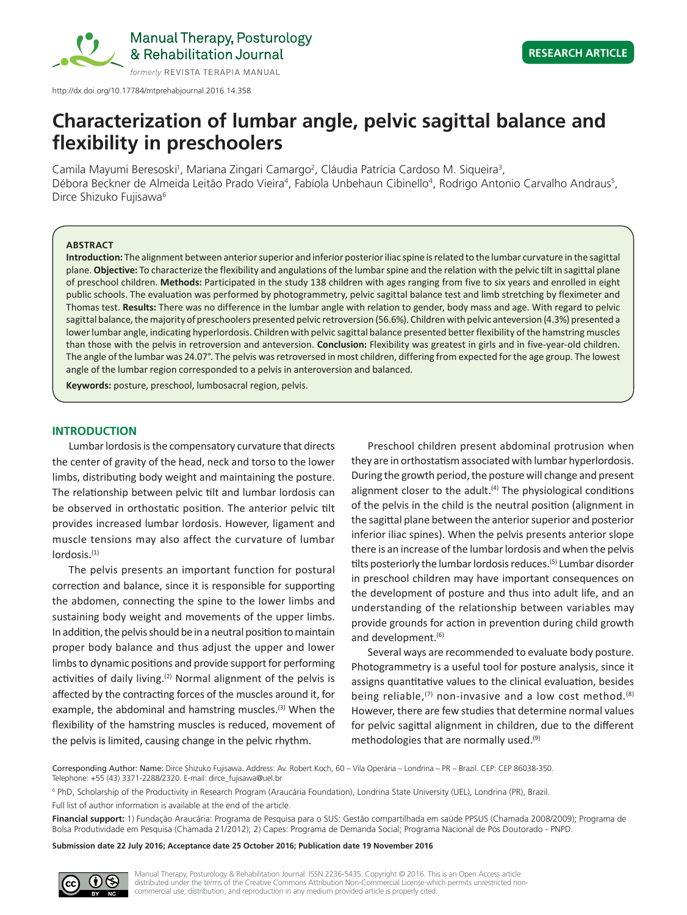

Manual Therapy, Posturology & Rehabilitation Journal

http://dx.doi.org/10.17784/mtprehabjournal.2016.14.358

# **Characterization of lumbar angle, pelvic sagittal balance and flexibility in preschoolers**

Camila Mayumi Beresoski<sup>1</sup>, Mariana Zingari Camargo<sup>2</sup>, Cláudia Patrícia Cardoso M. Siqueira<sup>3</sup>, Débora Beckner de Almeida Leitão Prado Vieira<sup>4</sup>, Fabíola Unbehaun Cibinello<sup>4</sup>, Rodrigo Antonio Carvalho Andraus<sup>5</sup>, Dirce Shizuko Fujisawa<sup>6</sup>

#### **ABSTRACT**

**Introduction:** The alignment between anterior superior and inferior posterior iliac spine is related to the lumbar curvature in the sagittal plane. **Objective:** To characterize the flexibility and angulations of the lumbar spine and the relation with the pelvic tilt in sagittal plane of preschool children. **Methods:** Participated in the study 138 children with ages ranging from five to six years and enrolled in eight public schools. The evaluation was performed by photogrammetry, pelvic sagittal balance test and limb stretching by fleximeter and Thomas test. **Results:** There was no difference in the lumbar angle with relation to gender, body mass and age. With regard to pelvic sagittal balance, the majority of preschoolers presented pelvic retroversion (56.6%). Children with pelvic anteversion (4.3%) presented a lower lumbar angle, indicating hyperlordosis. Children with pelvic sagittal balance presented better flexibility of the hamstring muscles than those with the pelvis in retroversion and anteversion. **Conclusion:** Flexibility was greatest in girls and in five-year-old children. The angle of the lumbar was 24.07°. The pelvis was retroversed in most children, differing from expected for the age group. The lowest angle of the lumbar region corresponded to a pelvis in anteroversion and balanced.

**Keywords:** posture, preschool, lumbosacral region, pelvis.

## **INTRODUCTION**

Lumbar lordosis is the compensatory curvature that directs the center of gravity of the head, neck and torso to the lower limbs, distributing body weight and maintaining the posture. The relationship between pelvic tilt and lumbar lordosis can be observed in orthostatic position. The anterior pelvic tilt provides increased lumbar lordosis. However, ligament and muscle tensions may also affect the curvature of lumbar  $Iordosis.<sub>(1)</sub>$ 

The pelvis presents an important function for postural correction and balance, since it is responsible for supporting the abdomen, connecting the spine to the lower limbs and sustaining body weight and movements of the upper limbs. In addition, the pelvis should be in a neutral position to maintain proper body balance and thus adjust the upper and lower limbs to dynamic positions and provide support for performing activities of daily living. $(2)$  Normal alignment of the pelvis is affected by the contracting forces of the muscles around it, for example, the abdominal and hamstring muscles.<sup>(3)</sup> When the flexibility of the hamstring muscles is reduced, movement of the pelvis is limited, causing change in the pelvic rhythm.

Preschool children present abdominal protrusion when they are in orthostatism associated with lumbar hyperlordosis. During the growth period, the posture will change and present alignment closer to the adult. $(4)$  The physiological conditions of the pelvis in the child is the neutral position (alignment in the sagittal plane between the anterior superior and posterior inferior iliac spines). When the pelvis presents anterior slope there is an increase of the lumbar lordosis and when the pelvis tilts posteriorly the lumbar lordosis reduces.(5) Lumbar disorder in preschool children may have important consequences on the development of posture and thus into adult life, and an understanding of the relationship between variables may provide grounds for action in prevention during child growth and development.<sup>(6)</sup>

Several ways are recommended to evaluate body posture. Photogrammetry is a useful tool for posture analysis, since it assigns quantitative values to the clinical evaluation, besides being reliable,<sup>(7)</sup> non-invasive and a low cost method.<sup>(8)</sup> However, there are few studies that determine normal values for pelvic sagittal alignment in children, due to the different methodologies that are normally used.<sup>(9)</sup>

Corresponding Author: Name: Dirce Shizuko Fujisawa. Address: Av. Robert Koch, 60 – Vila Operária – Londrina – PR – Brazil. CEP: CEP 86038-350. Telephone: +55 (43) 3371-2288/2320. E-mail: dirce\_fujisawa@uel.br

6 PhD, Scholarship of the Productivity in Research Program (Araucária Foundation), Londrina State University (UEL), Londrina (PR), Brazil. Full list of author information is available at the end of the article.

**Financial support:** 1) Fundação Araucária: Programa de Pesquisa para o SUS: Gestão compartilhada em saúde PPSUS (Chamada 2008/2009); Programa de Bolsa Produtividade em Pesquisa (Chamada 21/2012); 2) Capes: Programa de Demanda Social; Programa Nacional de Pós Doutorado - PNPD.

**Submission date 22 July 2016; Acceptance date 25 October 2016; Publication date 19 November 2016**

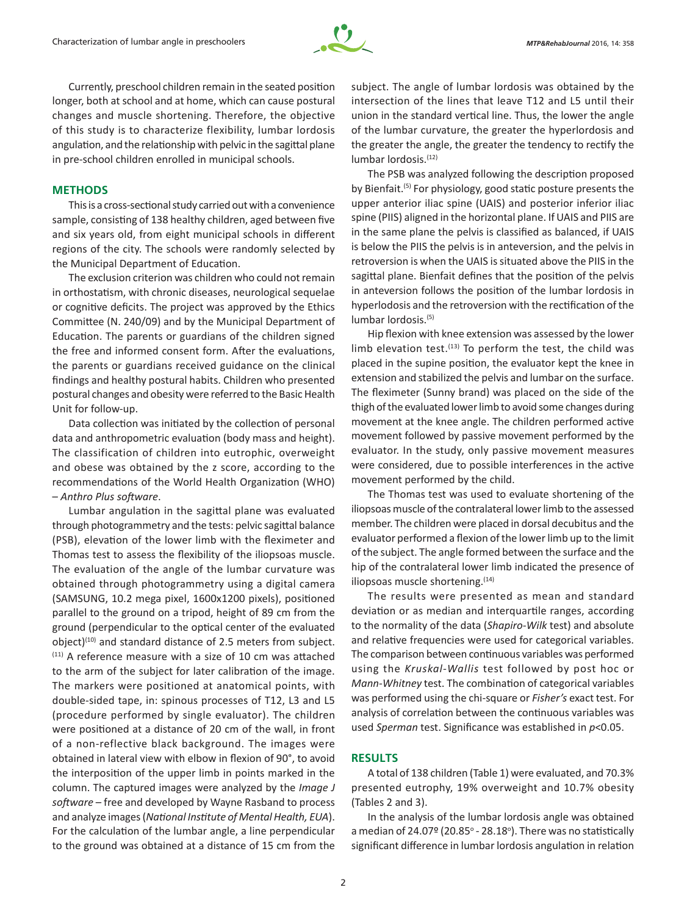

Currently, preschool children remain in the seated position longer, both at school and at home, which can cause postural changes and muscle shortening. Therefore, the objective of this study is to characterize flexibility, lumbar lordosis angulation, and the relationship with pelvic in the sagittal plane in pre-school children enrolled in municipal schools.

## **METHODS**

This is a cross-sectional study carried out with a convenience sample, consisting of 138 healthy children, aged between five and six years old, from eight municipal schools in different regions of the city. The schools were randomly selected by the Municipal Department of Education.

The exclusion criterion was children who could not remain in orthostatism, with chronic diseases, neurological sequelae or cognitive deficits. The project was approved by the Ethics Committee (N. 240/09) and by the Municipal Department of Education. The parents or guardians of the children signed the free and informed consent form. After the evaluations, the parents or guardians received guidance on the clinical findings and healthy postural habits. Children who presented postural changes and obesity were referred to the Basic Health Unit for follow-up.

Data collection was initiated by the collection of personal data and anthropometric evaluation (body mass and height). The classification of children into eutrophic, overweight and obese was obtained by the z score, according to the recommendations of the World Health Organization (WHO) – *Anthro Plus software*.

Lumbar angulation in the sagittal plane was evaluated through photogrammetry and the tests: pelvic sagittal balance (PSB), elevation of the lower limb with the fleximeter and Thomas test to assess the flexibility of the iliopsoas muscle. The evaluation of the angle of the lumbar curvature was obtained through photogrammetry using a digital camera (SAMSUNG, 10.2 mega pixel, 1600x1200 pixels), positioned parallel to the ground on a tripod, height of 89 cm from the ground (perpendicular to the optical center of the evaluated object)<sup>(10)</sup> and standard distance of 2.5 meters from subject. (11) A reference measure with a size of 10 cm was attached to the arm of the subject for later calibration of the image. The markers were positioned at anatomical points, with double-sided tape, in: spinous processes of T12, L3 and L5 (procedure performed by single evaluator). The children were positioned at a distance of 20 cm of the wall, in front of a non-reflective black background. The images were obtained in lateral view with elbow in flexion of 90°, to avoid the interposition of the upper limb in points marked in the column. The captured images were analyzed by the *Image J software* – free and developed by Wayne Rasband to process and analyze images (*National Institute of Mental Health, EUA*). For the calculation of the lumbar angle, a line perpendicular to the ground was obtained at a distance of 15 cm from the subject. The angle of lumbar lordosis was obtained by the intersection of the lines that leave T12 and L5 until their union in the standard vertical line. Thus, the lower the angle of the lumbar curvature, the greater the hyperlordosis and the greater the angle, the greater the tendency to rectify the lumbar lordosis.<sup>(12)</sup>

The PSB was analyzed following the description proposed by Bienfait.(5) For physiology, good static posture presents the upper anterior iliac spine (UAIS) and posterior inferior iliac spine (PIIS) aligned in the horizontal plane. If UAIS and PIIS are in the same plane the pelvis is classified as balanced, if UAIS is below the PIIS the pelvis is in anteversion, and the pelvis in retroversion is when the UAIS is situated above the PIIS in the sagittal plane. Bienfait defines that the position of the pelvis in anteversion follows the position of the lumbar lordosis in hyperlodosis and the retroversion with the rectification of the lumbar lordosis.(5)

Hip flexion with knee extension was assessed by the lower limb elevation test.<sup>(13)</sup> To perform the test, the child was placed in the supine position, the evaluator kept the knee in extension and stabilized the pelvis and lumbar on the surface. The fleximeter (Sunny brand) was placed on the side of the thigh of the evaluated lower limb to avoid some changes during movement at the knee angle. The children performed active movement followed by passive movement performed by the evaluator. In the study, only passive movement measures were considered, due to possible interferences in the active movement performed by the child.

The Thomas test was used to evaluate shortening of the iliopsoas muscle of the contralateral lower limb to the assessed member. The children were placed in dorsal decubitus and the evaluator performed a flexion of the lower limb up to the limit of the subject. The angle formed between the surface and the hip of the contralateral lower limb indicated the presence of iliopsoas muscle shortening.<sup>(14)</sup>

The results were presented as mean and standard deviation or as median and interquartile ranges, according to the normality of the data (*Shapiro-Wilk* test) and absolute and relative frequencies were used for categorical variables. The comparison between continuous variables was performed using the *Kruskal-Wallis* test followed by post hoc or *Mann‑Whitney* test. The combination of categorical variables was performed using the chi-square or *Fisher's* exact test. For analysis of correlation between the continuous variables was used *Sperman* test. Significance was established in *p*<0.05.

## **RESULTS**

A total of 138 children (Table 1) were evaluated, and 70.3% presented eutrophy, 19% overweight and 10.7% obesity (Tables 2 and 3).

In the analysis of the lumbar lordosis angle was obtained a median of 24.07 $9$  (20.85 $^{\circ}$  - 28.18 $^{\circ}$ ). There was no statistically significant difference in lumbar lordosis angulation in relation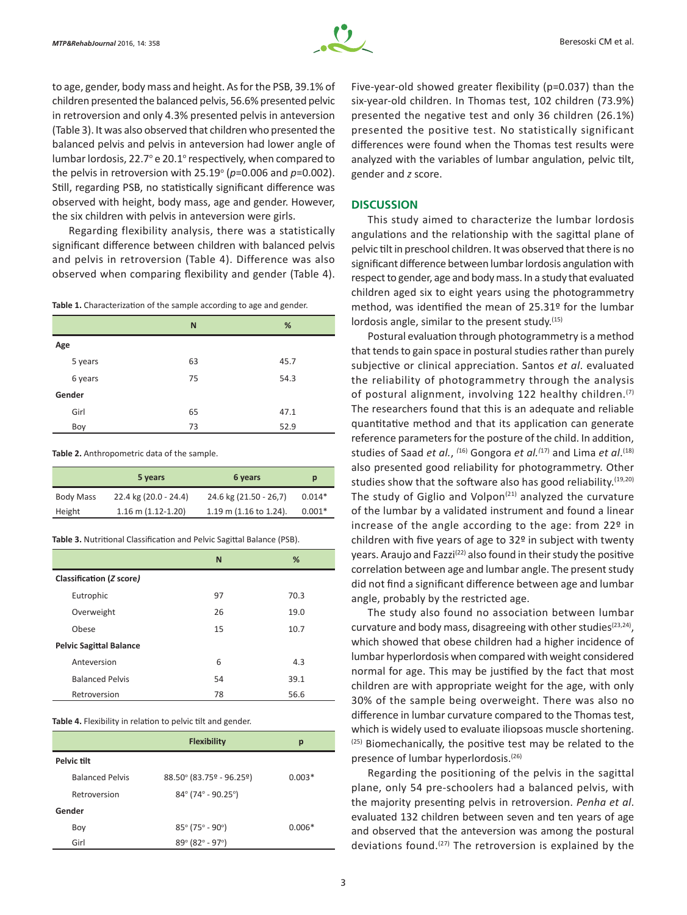

to age, gender, body mass and height. As for the PSB, 39.1% of children presented the balanced pelvis, 56.6% presented pelvic in retroversion and only 4.3% presented pelvis in anteversion (Table 3). It was also observed that children who presented the balanced pelvis and pelvis in anteversion had lower angle of lumbar lordosis, 22.7° e 20.1° respectively, when compared to the pelvis in retroversion with  $25.19^{\circ}$  ( $p=0.006$  and  $p=0.002$ ). Still, regarding PSB, no statistically significant difference was observed with height, body mass, age and gender. However, the six children with pelvis in anteversion were girls.

Regarding flexibility analysis, there was a statistically significant difference between children with balanced pelvis and pelvis in retroversion (Table 4). Difference was also observed when comparing flexibility and gender (Table 4).

**Table 1.** Characterization of the sample according to age and gender.

|         | N  | %    |
|---------|----|------|
| Age     |    |      |
| 5 years | 63 | 45.7 |
| 6 years | 75 | 54.3 |
| Gender  |    |      |
| Girl    | 65 | 47.1 |
| Boy     | 73 | 52.9 |

**Table 2.** Anthropometric data of the sample.

|                  | 5 years                | 6 years                  | p        |
|------------------|------------------------|--------------------------|----------|
| <b>Body Mass</b> | 22.4 kg (20.0 - 24.4)  | 24.6 kg (21.50 - 26,7)   | $0.014*$ |
| Height           | $1.16$ m $(1.12-1.20)$ | $1.19$ m (1.16 to 1.24). | $0.001*$ |

**Table 3.** Nutritional Classification and Pelvic Sagittal Balance (PSB).

|                                | N  | %    |
|--------------------------------|----|------|
| Classification (Z score)       |    |      |
| Eutrophic                      | 97 | 70.3 |
| Overweight                     | 26 | 19.0 |
| Obese                          | 15 | 10.7 |
| <b>Pelvic Sagittal Balance</b> |    |      |
| Anteversion                    | 6  | 4.3  |
| <b>Balanced Pelvis</b>         | 54 | 39.1 |
| Retroversion                   | 78 | 56.6 |

**Table 4.** Flexibility in relation to pelvic tilt and gender.

|                        | <b>Flexibility</b>                            | р        |
|------------------------|-----------------------------------------------|----------|
| Pelvic tilt            |                                               |          |
| <b>Balanced Pelvis</b> | $88.50^{\circ}$ (83.75° - 96.25°)             | $0.003*$ |
| Retroversion           | $84^{\circ}$ (74° - 90.25°)                   |          |
| Gender                 |                                               |          |
| Boy                    | $85^{\circ}$ (75° - 90°)                      | $0.006*$ |
| Girl                   | $89^{\circ}$ (82 $^{\circ}$ - 97 $^{\circ}$ ) |          |

Five‑year-old showed greater flexibility (p=0.037) than the six-year-old children. In Thomas test, 102 children (73.9%) presented the negative test and only 36 children (26.1%) presented the positive test. No statistically significant differences were found when the Thomas test results were analyzed with the variables of lumbar angulation, pelvic tilt, gender and *z* score.

#### **DISCUSSION**

This study aimed to characterize the lumbar lordosis angulations and the relationship with the sagittal plane of pelvic tilt in preschool children. It was observed that there is no significant difference between lumbar lordosis angulation with respect to gender, age and body mass. In a study that evaluated children aged six to eight years using the photogrammetry method, was identified the mean of 25.31º for the lumbar lordosis angle, similar to the present study. $(15)$ 

Postural evaluation through photogrammetry is a method that tends to gain space in postural studies rather than purely subjective or clinical appreciation. Santos *et al*. evaluated the reliability of photogrammetry through the analysis of postural alignment, involving 122 healthy children.(7) The researchers found that this is an adequate and reliable quantitative method and that its application can generate reference parameters for the posture of the child. In addition, studies of Saad *et al.*, *(*16) Gongora *et al.(*17) and Lima *et al*. (18) also presented good reliability for photogrammetry. Other studies show that the software also has good reliability.  $(19,20)$ The study of Giglio and Volpon<sup> $(21)$ </sup> analyzed the curvature of the lumbar by a validated instrument and found a linear increase of the angle according to the age: from 22º in children with five years of age to 32º in subject with twenty years. Araujo and Fazzi(22) also found in their study the positive correlation between age and lumbar angle. The present study did not find a significant difference between age and lumbar angle, probably by the restricted age.

The study also found no association between lumbar curvature and body mass, disagreeing with other studies<sup>(23,24)</sup>, which showed that obese children had a higher incidence of lumbar hyperlordosis when compared with weight considered normal for age. This may be justified by the fact that most children are with appropriate weight for the age, with only 30% of the sample being overweight. There was also no difference in lumbar curvature compared to the Thomas test, which is widely used to evaluate iliopsoas muscle shortening. (25) Biomechanically, the positive test may be related to the presence of lumbar hyperlordosis.<sup>(26)</sup>

Regarding the positioning of the pelvis in the sagittal plane, only 54 pre-schoolers had a balanced pelvis, with the majority presenting pelvis in retroversion. *Penha et al*. evaluated 132 children between seven and ten years of age and observed that the anteversion was among the postural deviations found.<sup> $(27)$ </sup> The retroversion is explained by the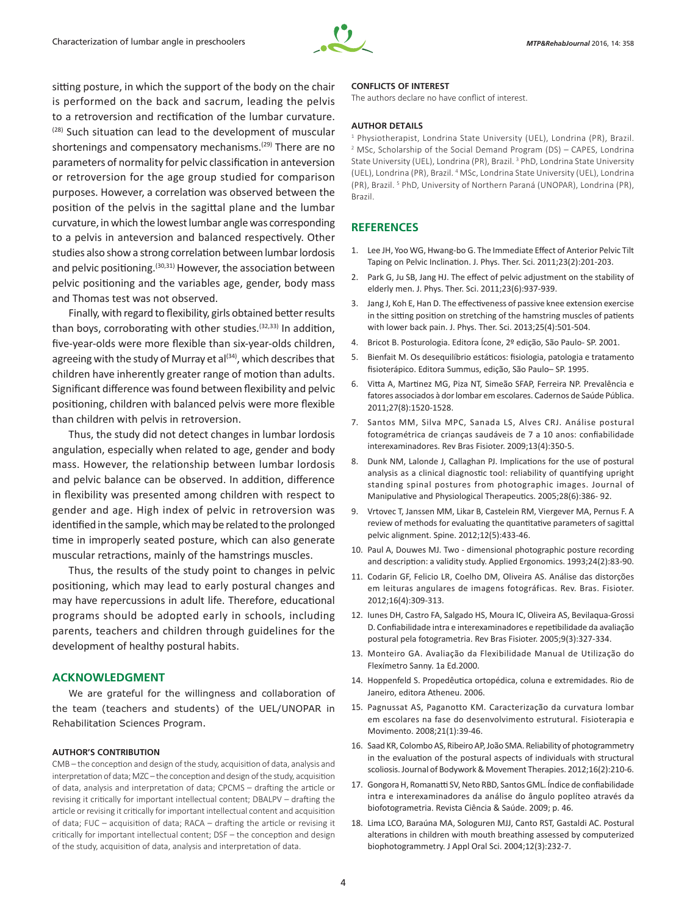

sitting posture, in which the support of the body on the chair is performed on the back and sacrum, leading the pelvis to a retroversion and rectification of the lumbar curvature. (28) Such situation can lead to the development of muscular shortenings and compensatory mechanisms.<sup>(29)</sup> There are no parameters of normality for pelvic classification in anteversion or retroversion for the age group studied for comparison purposes. However, a correlation was observed between the position of the pelvis in the sagittal plane and the lumbar curvature, in which the lowest lumbar angle was corresponding to a pelvis in anteversion and balanced respectively. Other studies also show a strong correlation between lumbar lordosis and pelvic positioning.<sup>(30,31)</sup> However, the association between pelvic positioning and the variables age, gender, body mass and Thomas test was not observed.

Finally, with regard to flexibility, girls obtained better results than boys, corroborating with other studies.<sup>(32,33)</sup> In addition, five-year-olds were more flexible than six-year-olds children, agreeing with the study of Murray et al $(34)$ , which describes that children have inherently greater range of motion than adults. Significant difference was found between flexibility and pelvic positioning, children with balanced pelvis were more flexible than children with pelvis in retroversion.

Thus, the study did not detect changes in lumbar lordosis angulation, especially when related to age, gender and body mass. However, the relationship between lumbar lordosis and pelvic balance can be observed. In addition, difference in flexibility was presented among children with respect to gender and age. High index of pelvic in retroversion was identified in the sample, which may be related to the prolonged time in improperly seated posture, which can also generate muscular retractions, mainly of the hamstrings muscles.

Thus, the results of the study point to changes in pelvic positioning, which may lead to early postural changes and may have repercussions in adult life. Therefore, educational programs should be adopted early in schools, including parents, teachers and children through guidelines for the development of healthy postural habits.

### **ACKNOWLEDGMENT**

We are grateful for the willingness and collaboration of the team (teachers and students) of the UEL/UNOPAR in Rehabilitation Sciences Program.

#### **AUTHOR'S CONTRIBUTION**

CMB – the conception and design of the study, acquisition of data, analysis and interpretation of data; MZC – the conception and design of the study, acquisition of data, analysis and interpretation of data; CPCMS – drafting the article or revising it critically for important intellectual content; DBALPV – drafting the article or revising it critically for important intellectual content and acquisition of data; FUC – acquisition of data; RACA – drafting the article or revising it critically for important intellectual content; DSF – the conception and design of the study, acquisition of data, analysis and interpretation of data.

#### **CONFLICTS OF INTEREST**

The authors declare no have conflict of interest.

#### **AUTHOR DETAILS**

<sup>1</sup> Physiotherapist, Londrina State University (UEL), Londrina (PR), Brazil. <sup>2</sup> MSc, Scholarship of the Social Demand Program (DS) – CAPES, Londrina State University (UEL), Londrina (PR), Brazil.<sup>3</sup> PhD, Londrina State University (UEL), Londrina (PR), Brazil. <sup>4</sup> MSc, Londrina State University (UEL), Londrina (PR), Brazil. <sup>5</sup> PhD, University of Northern Paraná (UNOPAR), Londrina (PR), Brazil.

# **REFERENCES**

- 1. Lee JH, Yoo WG, Hwang-bo G. The Immediate Effect of Anterior Pelvic Tilt Taping on Pelvic Inclination. J. Phys. Ther. Sci. 2011;23(2):201-203.
- 2. Park G, Ju SB, Jang HJ. The effect of pelvic adjustment on the stability of elderly men. J. Phys. Ther. Sci. 2011;23(6):937-939.
- 3. Jang J, Koh E, Han D. The effectiveness of passive knee extension exercise in the sitting position on stretching of the hamstring muscles of patients with lower back pain. J. Phys. Ther. Sci. 2013;25(4):501-504.
- 4. Bricot B. Posturologia. Editora Ícone, 2º edição, São Paulo- SP. 2001.
- 5. Bienfait M. Os desequilíbrio estáticos: fisiologia, patologia e tratamento fisioterápico. Editora Summus, edição, São Paulo– SP. 1995.
- 6. Vitta A, Martinez MG, Piza NT, Simeão SFAP, Ferreira NP. Prevalência e fatores associados à dor lombar em escolares. Cadernos de Saúde Pública. 2011;27(8):1520-1528.
- 7. Santos MM, Silva MPC, Sanada LS, Alves CRJ. Análise postural fotogramétrica de crianças saudáveis de 7 a 10 anos: confiabilidade interexaminadores. Rev Bras Fisioter. 2009;13(4):350-5.
- 8. Dunk NM, Lalonde J, Callaghan PJ. Implications for the use of postural analysis as a clinical diagnostic tool: reliability of quantifying upright standing spinal postures from photographic images. Journal of Manipulative and Physiological Therapeutics. 2005;28(6):386- 92.
- 9. Vrtovec T, Janssen MM, Likar B, Castelein RM, Viergever MA, Pernus F. A review of methods for evaluating the quantitative parameters of sagittal pelvic alignment. Spine. 2012;12(5):433-46.
- 10. Paul A, Douwes MJ. Two dimensional photographic posture recording and description: a validity study. Applied Ergonomics. 1993;24(2):83-90.
- 11. Codarin GF, Felicio LR, Coelho DM, Oliveira AS. Análise das distorções em leituras angulares de imagens fotográficas. Rev. Bras. Fisioter. 2012;16(4):309-313.
- 12. Iunes DH, Castro FA, Salgado HS, Moura IC, Oliveira AS, Bevilaqua-Grossi D. Confiabilidade intra e interexaminadores e repetibilidade da avaliação postural pela fotogrametria. Rev Bras Fisioter. 2005;9(3):327-334.
- 13. Monteiro GA. Avaliação da Flexibilidade Manual de Utilização do Flexímetro Sanny. 1a Ed.2000.
- 14. Hoppenfeld S. Propedêutica ortopédica, coluna e extremidades. Rio de Janeiro, editora Atheneu. 2006.
- 15. Pagnussat AS, Paganotto KM. Caracterização da curvatura lombar em escolares na fase do desenvolvimento estrutural. Fisioterapia e Movimento. 2008;21(1):39-46.
- 16. Saad KR, Colombo AS, Ribeiro AP, João SMA. Reliability of photogrammetry in the evaluation of the postural aspects of individuals with structural scoliosis. Journal of Bodywork & Movement Therapies. 2012;16(2):210-6.
- 17. Gongora H, Romanatti SV, Neto RBD, Santos GML. Índice de confiabilidade intra e interexaminadores da análise do ângulo poplíteo através da biofotogrametria. Revista Ciência & Saúde. 2009; p. 46.
- 18. Lima LCO, Baraúna MA, Sologuren MJJ, Canto RST, Gastaldi AC. Postural alterations in children with mouth breathing assessed by computerized biophotogrammetry. J Appl Oral Sci. 2004;12(3):232-7.